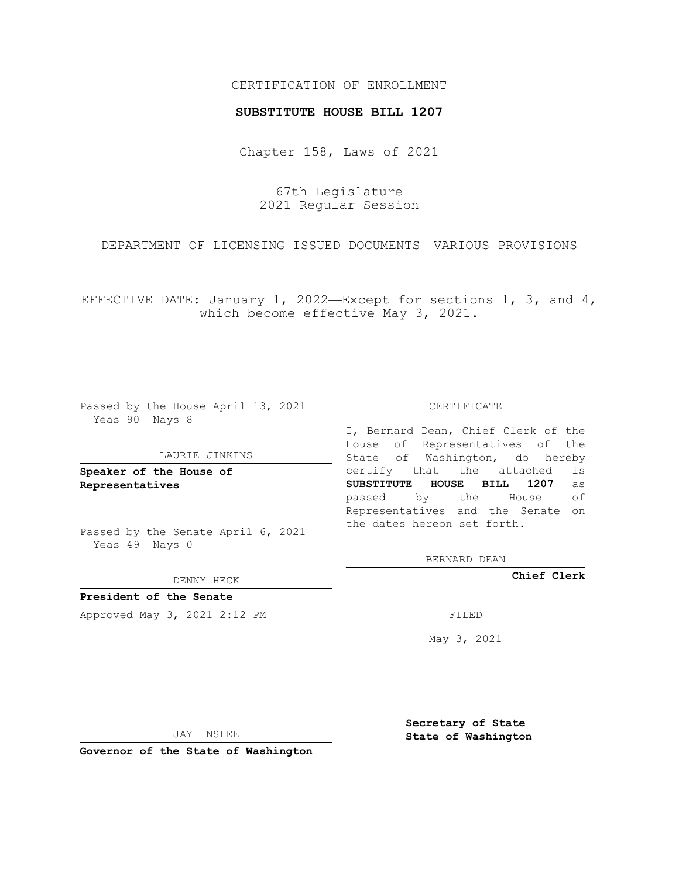## CERTIFICATION OF ENROLLMENT

### **SUBSTITUTE HOUSE BILL 1207**

Chapter 158, Laws of 2021

67th Legislature 2021 Regular Session

DEPARTMENT OF LICENSING ISSUED DOCUMENTS—VARIOUS PROVISIONS

EFFECTIVE DATE: January 1, 2022—Except for sections 1, 3, and  $4$ , which become effective May 3, 2021.

Passed by the House April 13, 2021 Yeas 90 Nays 8

#### LAURIE JINKINS

**Speaker of the House of Representatives**

Passed by the Senate April 6, 2021 Yeas 49 Nays 0

DENNY HECK

**President of the Senate** Approved May 3, 2021 2:12 PM

CERTIFICATE

I, Bernard Dean, Chief Clerk of the House of Representatives of the State of Washington, do hereby certify that the attached is **SUBSTITUTE HOUSE BILL 1207** as passed by the House of Representatives and the Senate on the dates hereon set forth.

BERNARD DEAN

**Chief Clerk**

May 3, 2021

JAY INSLEE

**Governor of the State of Washington**

**Secretary of State State of Washington**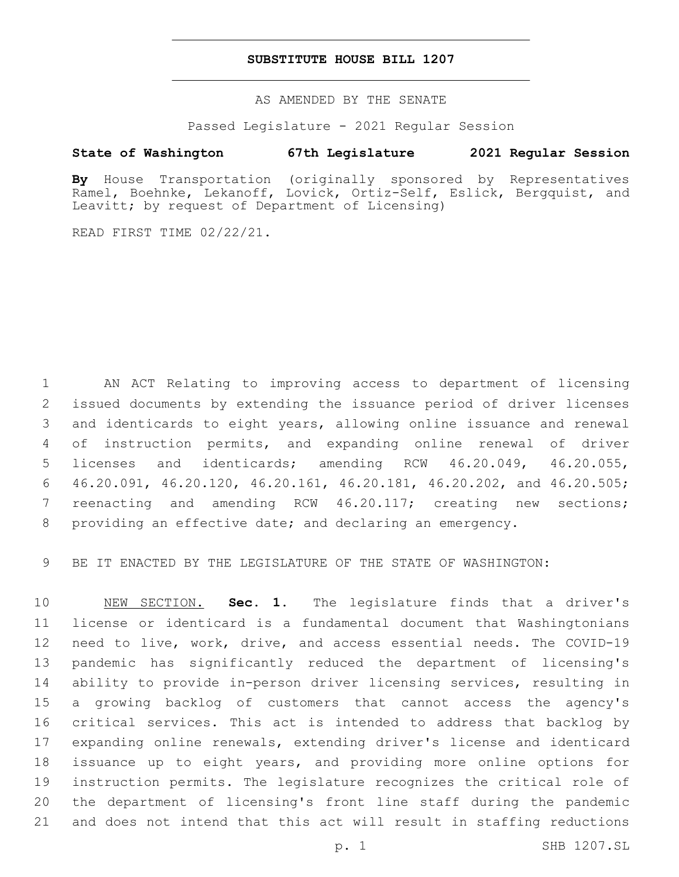## **SUBSTITUTE HOUSE BILL 1207**

AS AMENDED BY THE SENATE

Passed Legislature - 2021 Regular Session

# **State of Washington 67th Legislature 2021 Regular Session**

**By** House Transportation (originally sponsored by Representatives Ramel, Boehnke, Lekanoff, Lovick, Ortiz-Self, Eslick, Bergquist, and Leavitt; by request of Department of Licensing)

READ FIRST TIME 02/22/21.

 AN ACT Relating to improving access to department of licensing issued documents by extending the issuance period of driver licenses and identicards to eight years, allowing online issuance and renewal of instruction permits, and expanding online renewal of driver licenses and identicards; amending RCW 46.20.049, 46.20.055, 46.20.091, 46.20.120, 46.20.161, 46.20.181, 46.20.202, and 46.20.505; reenacting and amending RCW 46.20.117; creating new sections; providing an effective date; and declaring an emergency.

BE IT ENACTED BY THE LEGISLATURE OF THE STATE OF WASHINGTON:

 NEW SECTION. **Sec. 1.** The legislature finds that a driver's license or identicard is a fundamental document that Washingtonians need to live, work, drive, and access essential needs. The COVID-19 pandemic has significantly reduced the department of licensing's ability to provide in-person driver licensing services, resulting in a growing backlog of customers that cannot access the agency's critical services. This act is intended to address that backlog by expanding online renewals, extending driver's license and identicard issuance up to eight years, and providing more online options for instruction permits. The legislature recognizes the critical role of the department of licensing's front line staff during the pandemic and does not intend that this act will result in staffing reductions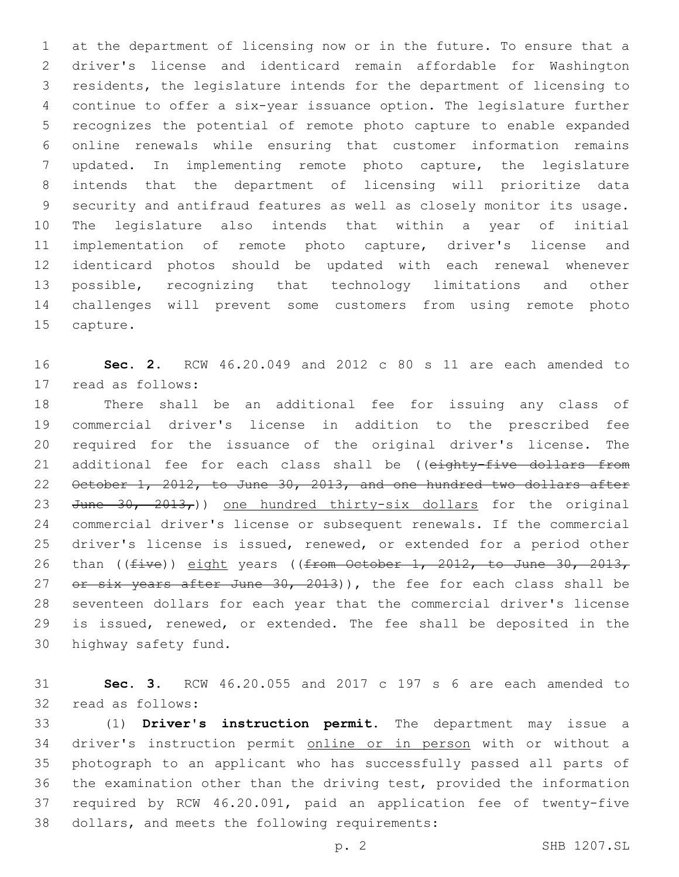at the department of licensing now or in the future. To ensure that a driver's license and identicard remain affordable for Washington residents, the legislature intends for the department of licensing to continue to offer a six-year issuance option. The legislature further recognizes the potential of remote photo capture to enable expanded online renewals while ensuring that customer information remains updated. In implementing remote photo capture, the legislature intends that the department of licensing will prioritize data security and antifraud features as well as closely monitor its usage. The legislature also intends that within a year of initial implementation of remote photo capture, driver's license and identicard photos should be updated with each renewal whenever possible, recognizing that technology limitations and other challenges will prevent some customers from using remote photo 15 capture.

 **Sec. 2.** RCW 46.20.049 and 2012 c 80 s 11 are each amended to 17 read as follows:

 There shall be an additional fee for issuing any class of commercial driver's license in addition to the prescribed fee required for the issuance of the original driver's license. The 21 additional fee for each class shall be ((eighty-five dollars from October 1, 2012, to June 30, 2013, and one hundred two dollars after 23 June  $30, 2013,$ ) one hundred thirty-six dollars for the original commercial driver's license or subsequent renewals. If the commercial driver's license is issued, renewed, or extended for a period other 26 than (( $five$ )) eight years (( $frem$  October 1, 2012, to June 30, 2013, 27 or six years after June 30, 2013)), the fee for each class shall be seventeen dollars for each year that the commercial driver's license is issued, renewed, or extended. The fee shall be deposited in the 30 highway safety fund.

 **Sec. 3.** RCW 46.20.055 and 2017 c 197 s 6 are each amended to 32 read as follows:

 (1) **Driver's instruction permit**. The department may issue a driver's instruction permit online or in person with or without a photograph to an applicant who has successfully passed all parts of the examination other than the driving test, provided the information required by RCW 46.20.091, paid an application fee of twenty-five 38 dollars, and meets the following requirements: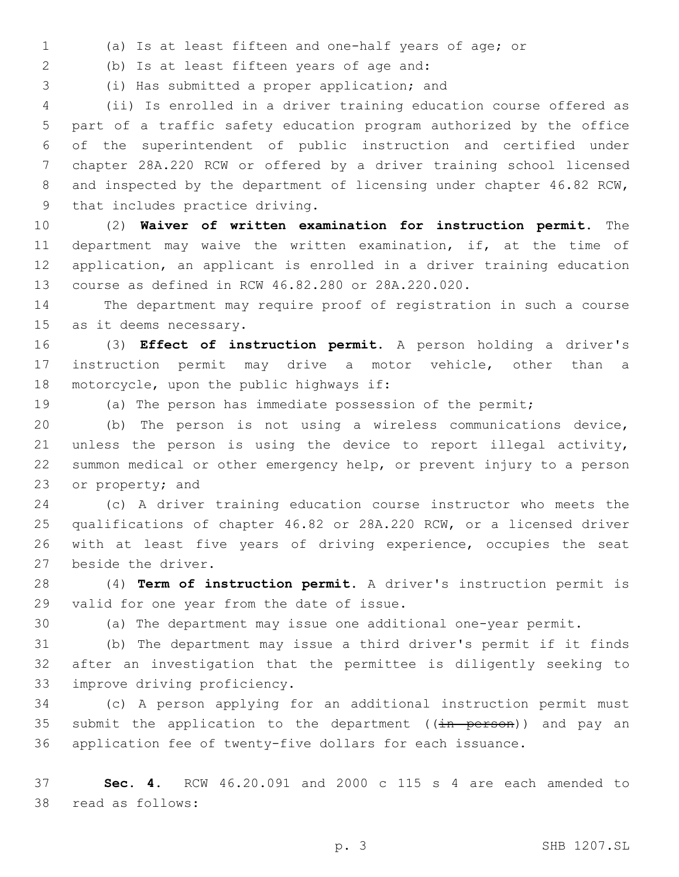(a) Is at least fifteen and one-half years of age; or

(b) Is at least fifteen years of age and:2

3 (i) Has submitted a proper application; and

 (ii) Is enrolled in a driver training education course offered as part of a traffic safety education program authorized by the office of the superintendent of public instruction and certified under chapter 28A.220 RCW or offered by a driver training school licensed 8 and inspected by the department of licensing under chapter 46.82 RCW, 9 that includes practice driving.

 (2) **Waiver of written examination for instruction permit**. The 11 department may waive the written examination, if, at the time of application, an applicant is enrolled in a driver training education course as defined in RCW 46.82.280 or 28A.220.020.

 The department may require proof of registration in such a course 15 as it deems necessary.

 (3) **Effect of instruction permit**. A person holding a driver's instruction permit may drive a motor vehicle, other than a 18 motorcycle, upon the public highways if:

(a) The person has immediate possession of the permit;

 (b) The person is not using a wireless communications device, unless the person is using the device to report illegal activity, summon medical or other emergency help, or prevent injury to a person 23 or property; and

 (c) A driver training education course instructor who meets the qualifications of chapter 46.82 or 28A.220 RCW, or a licensed driver 26 with at least five years of driving experience, occupies the seat 27 beside the driver.

 (4) **Term of instruction permit**. A driver's instruction permit is 29 valid for one year from the date of issue.

(a) The department may issue one additional one-year permit.

 (b) The department may issue a third driver's permit if it finds after an investigation that the permittee is diligently seeking to 33 improve driving proficiency.

 (c) A person applying for an additional instruction permit must 35 submit the application to the department ( $(i)$ n person)) and pay an application fee of twenty-five dollars for each issuance.

 **Sec. 4.** RCW 46.20.091 and 2000 c 115 s 4 are each amended to 38 read as follows: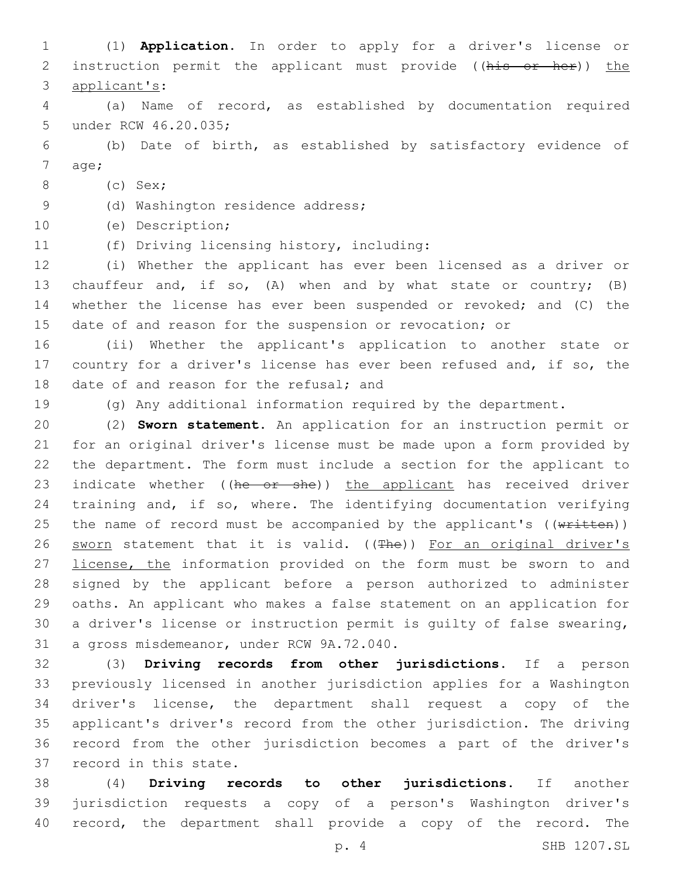(1) **Application**. In order to apply for a driver's license or 2 instruction permit the applicant must provide ((his or her)) the 3 applicant's: (a) Name of record, as established by documentation required 5 under RCW 46.20.035; (b) Date of birth, as established by satisfactory evidence of 7 age; (c) Sex;8 9 (d) Washington residence address; (e) Description;10 11 (f) Driving licensing history, including: (i) Whether the applicant has ever been licensed as a driver or chauffeur and, if so, (A) when and by what state or country; (B) whether the license has ever been suspended or revoked; and (C) the date of and reason for the suspension or revocation; or (ii) Whether the applicant's application to another state or country for a driver's license has ever been refused and, if so, the 18 date of and reason for the refusal; and (g) Any additional information required by the department. (2) **Sworn statement**. An application for an instruction permit or for an original driver's license must be made upon a form provided by the department. The form must include a section for the applicant to 23 indicate whether ((he or she)) the applicant has received driver training and, if so, where. The identifying documentation verifying 25 the name of record must be accompanied by the applicant's  $((\text{written}))$ 26 sworn statement that it is valid. ((The)) For an original driver's 27 license, the information provided on the form must be sworn to and signed by the applicant before a person authorized to administer oaths. An applicant who makes a false statement on an application for a driver's license or instruction permit is guilty of false swearing, 31 a gross misdemeanor, under RCW 9A.72.040. (3) **Driving records from other jurisdictions**. If a person previously licensed in another jurisdiction applies for a Washington driver's license, the department shall request a copy of the applicant's driver's record from the other jurisdiction. The driving record from the other jurisdiction becomes a part of the driver's 37 record in this state. (4) **Driving records to other jurisdictions**. If another

 jurisdiction requests a copy of a person's Washington driver's record, the department shall provide a copy of the record. The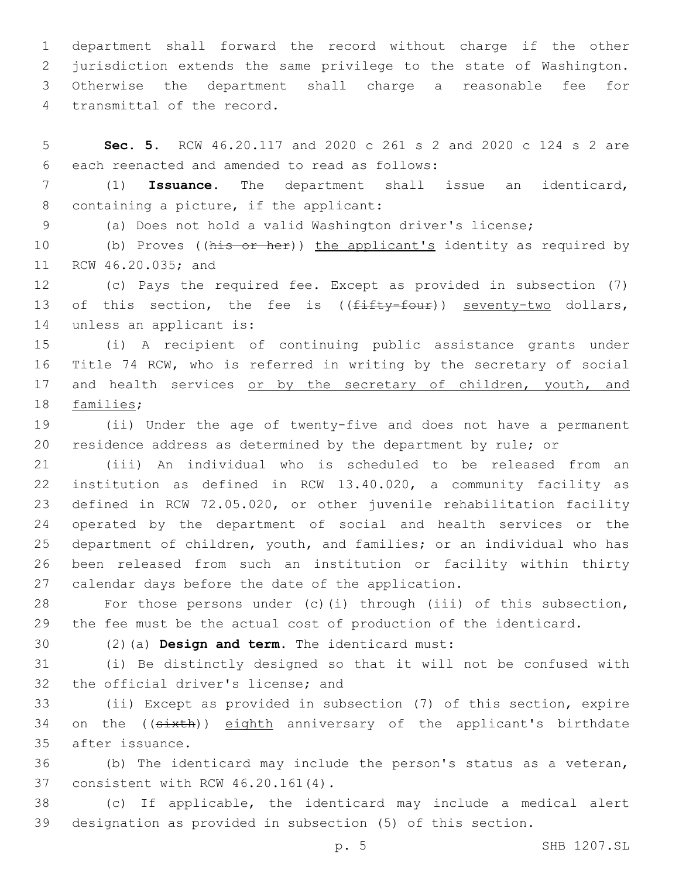department shall forward the record without charge if the other jurisdiction extends the same privilege to the state of Washington. Otherwise the department shall charge a reasonable fee for 4 transmittal of the record.

5 **Sec. 5.** RCW 46.20.117 and 2020 c 261 s 2 and 2020 c 124 s 2 are 6 each reenacted and amended to read as follows:

7 (1) **Issuance**. The department shall issue an identicard, 8 containing a picture, if the applicant:

9 (a) Does not hold a valid Washington driver's license;

10 (b) Proves ((his or her)) the applicant's identity as required by 11 RCW 46.20.035; and

12 (c) Pays the required fee. Except as provided in subsection (7) 13 of this section, the fee is ((fifty-four)) seventy-two dollars, 14 unless an applicant is:

15 (i) A recipient of continuing public assistance grants under 16 Title 74 RCW, who is referred in writing by the secretary of social 17 and health services or by the secretary of children, youth, and 18 families;

19 (ii) Under the age of twenty-five and does not have a permanent 20 residence address as determined by the department by rule; or

 (iii) An individual who is scheduled to be released from an institution as defined in RCW 13.40.020, a community facility as defined in RCW 72.05.020, or other juvenile rehabilitation facility operated by the department of social and health services or the department of children, youth, and families; or an individual who has been released from such an institution or facility within thirty 27 calendar days before the date of the application.

28 For those persons under (c)(i) through (iii) of this subsection, 29 the fee must be the actual cost of production of the identicard.

(2)(a) **Design and term**. The identicard must:30

31 (i) Be distinctly designed so that it will not be confused with 32 the official driver's license; and

33 (ii) Except as provided in subsection (7) of this section, expire 34 on the ((sixth)) eighth anniversary of the applicant's birthdate 35 after issuance.

36 (b) The identicard may include the person's status as a veteran, 37 consistent with RCW 46.20.161(4).

38 (c) If applicable, the identicard may include a medical alert 39 designation as provided in subsection (5) of this section.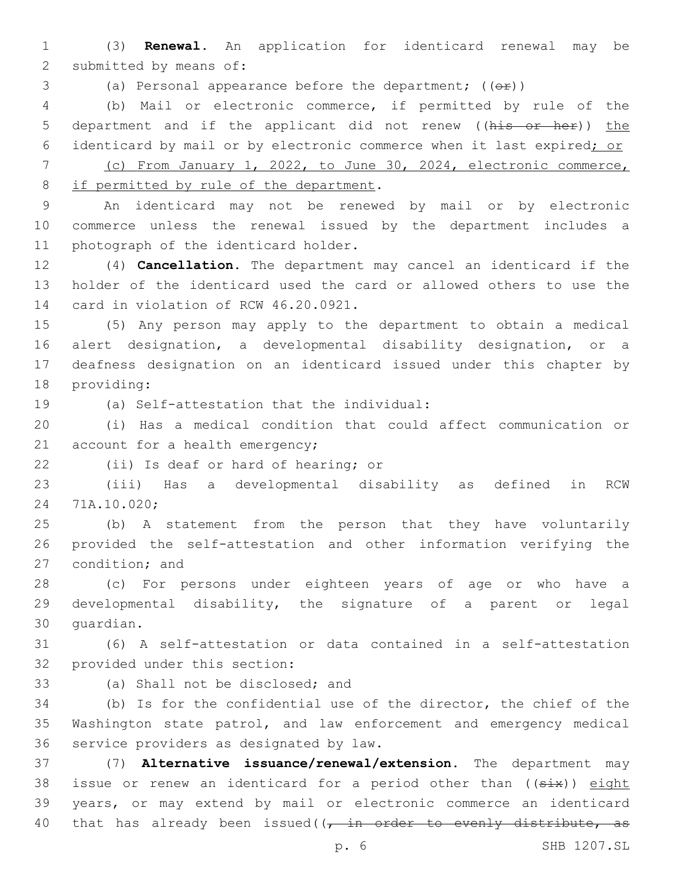1 (3) **Renewal**. An application for identicard renewal may be 2 submitted by means of:

3 (a) Personal appearance before the department; (( $\Theta$ r))

4 (b) Mail or electronic commerce, if permitted by rule of the 5 department and if the applicant did not renew ((his or her)) the 6 identicard by mail or by electronic commerce when it last expired; or

7 (c) From January 1, 2022, to June 30, 2024, electronic commerce, 8 if permitted by rule of the department.

9 An identicard may not be renewed by mail or by electronic 10 commerce unless the renewal issued by the department includes a 11 photograph of the identicard holder.

12 (4) **Cancellation**. The department may cancel an identicard if the 13 holder of the identicard used the card or allowed others to use the 14 card in violation of RCW 46.20.0921.

 (5) Any person may apply to the department to obtain a medical alert designation, a developmental disability designation, or a deafness designation on an identicard issued under this chapter by 18 providing:

(a) Self-attestation that the individual:19

20 (i) Has a medical condition that could affect communication or 21 account for a health emergency;

22 (ii) Is deaf or hard of hearing; or

23 (iii) Has a developmental disability as defined in RCW 24 71A.10.020;

25 (b) A statement from the person that they have voluntarily 26 provided the self-attestation and other information verifying the 27 condition; and

28 (c) For persons under eighteen years of age or who have a 29 developmental disability, the signature of a parent or legal 30 quardian.

31 (6) A self-attestation or data contained in a self-attestation 32 provided under this section:

33 (a) Shall not be disclosed; and

34 (b) Is for the confidential use of the director, the chief of the 35 Washington state patrol, and law enforcement and emergency medical 36 service providers as designated by law.

37 (7) **Alternative issuance/renewal/extension**. The department may 38 issue or renew an identicard for a period other than ((six)) eight 39 years, or may extend by mail or electronic commerce an identicard 40 that has already been issued( $\sqrt{1 + i}$  order to evenly distribute, as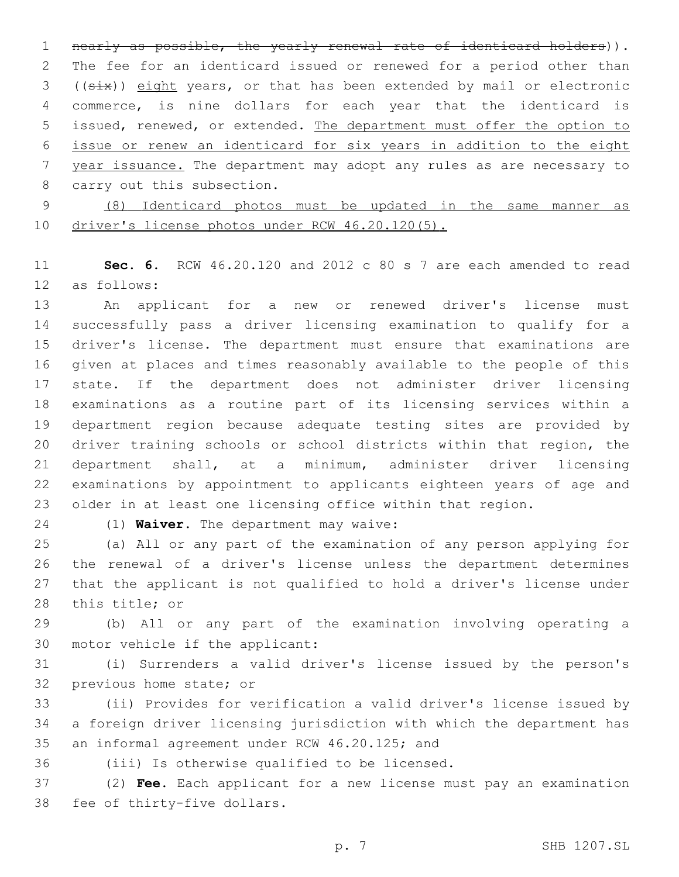nearly as possible, the yearly renewal rate of identicard holders)). The fee for an identicard issued or renewed for a period other than ((six)) eight years, or that has been extended by mail or electronic commerce, is nine dollars for each year that the identicard is issued, renewed, or extended. The department must offer the option to issue or renew an identicard for six years in addition to the eight year issuance. The department may adopt any rules as are necessary to 8 carry out this subsection.

 (8) Identicard photos must be updated in the same manner as 10 driver's license photos under RCW 46.20.120(5).

 **Sec. 6.** RCW 46.20.120 and 2012 c 80 s 7 are each amended to read as follows:12

 An applicant for a new or renewed driver's license must successfully pass a driver licensing examination to qualify for a driver's license. The department must ensure that examinations are given at places and times reasonably available to the people of this state. If the department does not administer driver licensing examinations as a routine part of its licensing services within a department region because adequate testing sites are provided by driver training schools or school districts within that region, the department shall, at a minimum, administer driver licensing examinations by appointment to applicants eighteen years of age and older in at least one licensing office within that region.

(1) **Waiver**. The department may waive:24

 (a) All or any part of the examination of any person applying for the renewal of a driver's license unless the department determines that the applicant is not qualified to hold a driver's license under 28 this title; or

 (b) All or any part of the examination involving operating a 30 motor vehicle if the applicant:

 (i) Surrenders a valid driver's license issued by the person's 32 previous home state; or

 (ii) Provides for verification a valid driver's license issued by a foreign driver licensing jurisdiction with which the department has 35 an informal agreement under RCW 46.20.125; and

36 (iii) Is otherwise qualified to be licensed.

 (2) **Fee**. Each applicant for a new license must pay an examination 38 fee of thirty-five dollars.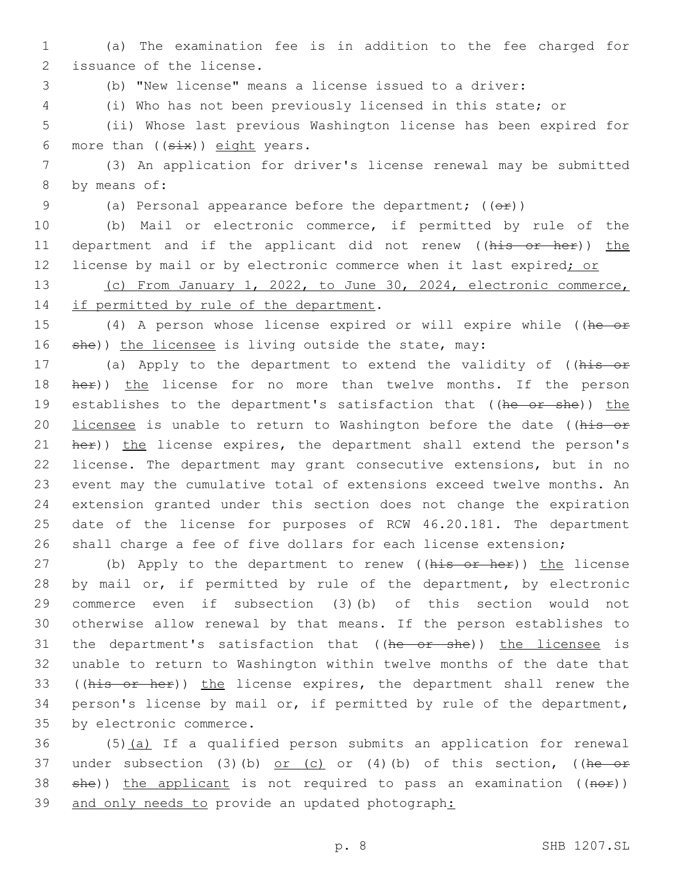1 (a) The examination fee is in addition to the fee charged for 2 issuance of the license.

3 (b) "New license" means a license issued to a driver:

4 (i) Who has not been previously licensed in this state; or

5 (ii) Whose last previous Washington license has been expired for 6 more than  $((six))$  eight years.

7 (3) An application for driver's license renewal may be submitted 8 by means of:

9 (a) Personal appearance before the department;  $((\theta \oplus))$ 

10 (b) Mail or electronic commerce, if permitted by rule of the 11 department and if the applicant did not renew ((his or her)) the 12 license by mail or by electronic commerce when it last expired; or

13 (c) From January 1, 2022, to June 30, 2024, electronic commerce, 14 if permitted by rule of the department.

15 (4) A person whose license expired or will expire while ((he or 16 she)) the licensee is living outside the state, may:

17 (a) Apply to the department to extend the validity of ((his or 18 her)) the license for no more than twelve months. If the person 19 establishes to the department's satisfaction that ((he or she)) the 20 licensee is unable to return to Washington before the date ((his or 21 her)) the license expires, the department shall extend the person's 22 license. The department may grant consecutive extensions, but in no 23 event may the cumulative total of extensions exceed twelve months. An 24 extension granted under this section does not change the expiration 25 date of the license for purposes of RCW 46.20.181. The department 26 shall charge a fee of five dollars for each license extension;

27 (b) Apply to the department to renew ((his or her)) the license 28 by mail or, if permitted by rule of the department, by electronic 29 commerce even if subsection (3)(b) of this section would not 30 otherwise allow renewal by that means. If the person establishes to 31 the department's satisfaction that ((he or she)) the licensee is 32 unable to return to Washington within twelve months of the date that 33 ((his or her)) the license expires, the department shall renew the 34 person's license by mail or, if permitted by rule of the department, 35 by electronic commerce.

36 (5)(a) If a qualified person submits an application for renewal 37 under subsection (3)(b) or (c) or (4)(b) of this section, ((he or 38 she)) the applicant is not required to pass an examination ((nor)) 39 and only needs to provide an updated photograph: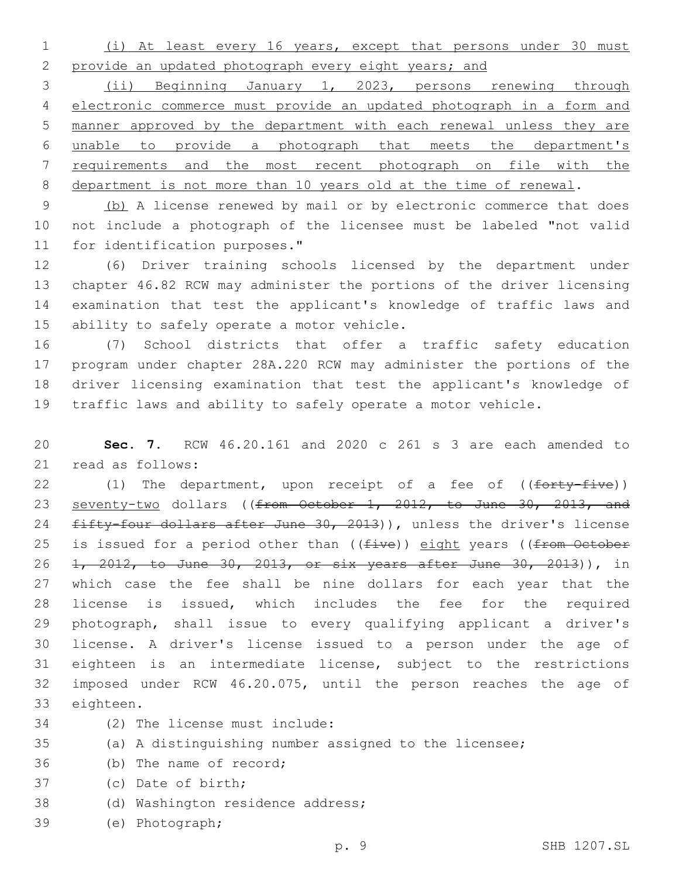(i) At least every 16 years, except that persons under 30 must provide an updated photograph every eight years; and

 (ii) Beginning January 1, 2023, persons renewing through electronic commerce must provide an updated photograph in a form and manner approved by the department with each renewal unless they are unable to provide a photograph that meets the department's requirements and the most recent photograph on file with the department is not more than 10 years old at the time of renewal.

9 (b) A license renewed by mail or by electronic commerce that does not include a photograph of the licensee must be labeled "not valid 11 for identification purposes."

 (6) Driver training schools licensed by the department under chapter 46.82 RCW may administer the portions of the driver licensing examination that test the applicant's knowledge of traffic laws and 15 ability to safely operate a motor vehicle.

 (7) School districts that offer a traffic safety education program under chapter 28A.220 RCW may administer the portions of the driver licensing examination that test the applicant's knowledge of traffic laws and ability to safely operate a motor vehicle.

 **Sec. 7.** RCW 46.20.161 and 2020 c 261 s 3 are each amended to 21 read as follows:

22 (1) The department, upon receipt of a fee of ((forty-five)) 23 seventy-two dollars ((from October 1, 2012, to June 30, 2013, and 24 fifty-four dollars after June 30, 2013)), unless the driver's license 25 is issued for a period other than  $((five))$  eight years  $((from-Oetober$  1, 2012, to June 30, 2013, or six years after June 30, 2013)), in which case the fee shall be nine dollars for each year that the license is issued, which includes the fee for the required photograph, shall issue to every qualifying applicant a driver's license. A driver's license issued to a person under the age of eighteen is an intermediate license, subject to the restrictions imposed under RCW 46.20.075, until the person reaches the age of 33 eighteen.

- (2) The license must include:34
- (a) A distinguishing number assigned to the licensee;
- 36 (b) The name of record;
- 37 (c) Date of birth;
- 38 (d) Washington residence address;
- (e) Photograph;39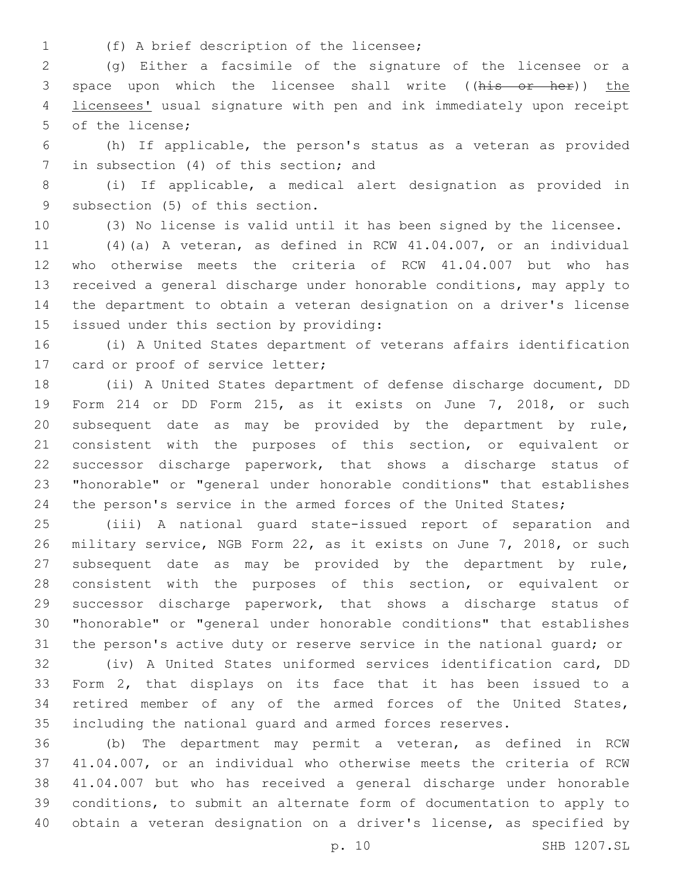- 
- (f) A brief description of the licensee;1

 (g) Either a facsimile of the signature of the licensee or a 3 space upon which the licensee shall write ((his or her)) the licensees' usual signature with pen and ink immediately upon receipt 5 of the license;

 (h) If applicable, the person's status as a veteran as provided 7 in subsection (4) of this section; and

 (i) If applicable, a medical alert designation as provided in 9 subsection (5) of this section.

(3) No license is valid until it has been signed by the licensee.

 (4)(a) A veteran, as defined in RCW 41.04.007, or an individual who otherwise meets the criteria of RCW 41.04.007 but who has received a general discharge under honorable conditions, may apply to the department to obtain a veteran designation on a driver's license 15 issued under this section by providing:

 (i) A United States department of veterans affairs identification 17 card or proof of service letter;

 (ii) A United States department of defense discharge document, DD Form 214 or DD Form 215, as it exists on June 7, 2018, or such subsequent date as may be provided by the department by rule, consistent with the purposes of this section, or equivalent or successor discharge paperwork, that shows a discharge status of "honorable" or "general under honorable conditions" that establishes 24 the person's service in the armed forces of the United States;

 (iii) A national guard state-issued report of separation and military service, NGB Form 22, as it exists on June 7, 2018, or such subsequent date as may be provided by the department by rule, consistent with the purposes of this section, or equivalent or successor discharge paperwork, that shows a discharge status of "honorable" or "general under honorable conditions" that establishes the person's active duty or reserve service in the national guard; or

 (iv) A United States uniformed services identification card, DD Form 2, that displays on its face that it has been issued to a retired member of any of the armed forces of the United States, including the national guard and armed forces reserves.

 (b) The department may permit a veteran, as defined in RCW 41.04.007, or an individual who otherwise meets the criteria of RCW 41.04.007 but who has received a general discharge under honorable conditions, to submit an alternate form of documentation to apply to obtain a veteran designation on a driver's license, as specified by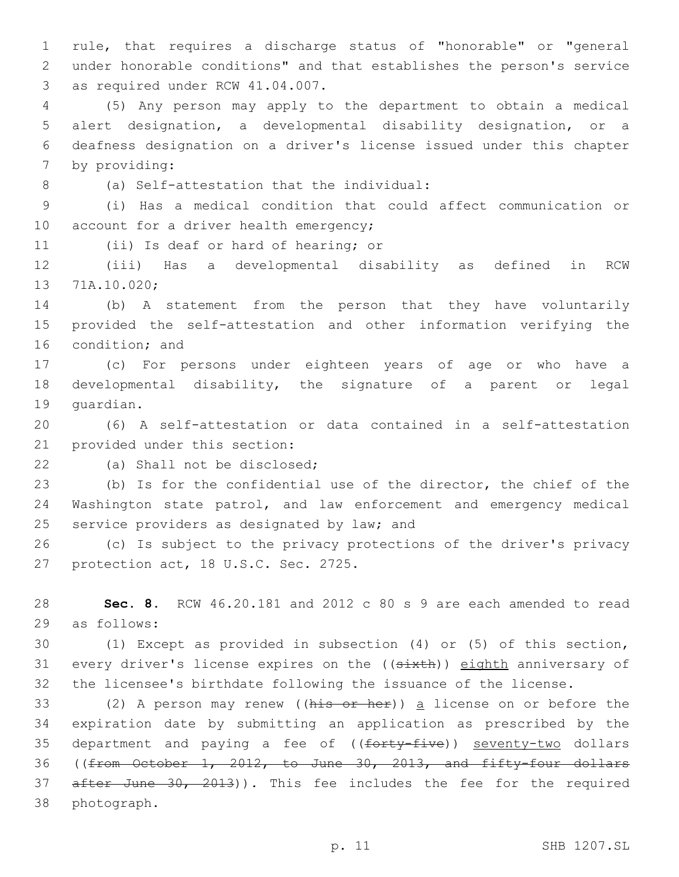1 rule, that requires a discharge status of "honorable" or "general 2 under honorable conditions" and that establishes the person's service 3 as required under RCW 41.04.007.

 (5) Any person may apply to the department to obtain a medical alert designation, a developmental disability designation, or a deafness designation on a driver's license issued under this chapter 7 by providing:

(a) Self-attestation that the individual:8

9 (i) Has a medical condition that could affect communication or 10 account for a driver health emergency;

11 (ii) Is deaf or hard of hearing; or

12 (iii) Has a developmental disability as defined in RCW 13 71A.10.020;

14 (b) A statement from the person that they have voluntarily 15 provided the self-attestation and other information verifying the 16 condition; and

17 (c) For persons under eighteen years of age or who have a 18 developmental disability, the signature of a parent or legal 19 quardian.

20 (6) A self-attestation or data contained in a self-attestation 21 provided under this section:

22 (a) Shall not be disclosed;

23 (b) Is for the confidential use of the director, the chief of the 24 Washington state patrol, and law enforcement and emergency medical 25 service providers as designated by law; and

26 (c) Is subject to the privacy protections of the driver's privacy 27 protection act, 18 U.S.C. Sec. 2725.

28 **Sec. 8.** RCW 46.20.181 and 2012 c 80 s 9 are each amended to read 29 as follows:

30 (1) Except as provided in subsection (4) or (5) of this section, 31 every driver's license expires on the ((sixth)) eighth anniversary of 32 the licensee's birthdate following the issuance of the license.

33 (2) A person may renew ((his or her)) a license on or before the 34 expiration date by submitting an application as prescribed by the 35 department and paying a fee of ((forty-five)) seventy-two dollars 36 ((from October 1, 2012, to June 30, 2013, and fifty-four dollars 37 after June 30, 2013)). This fee includes the fee for the required 38 photograph.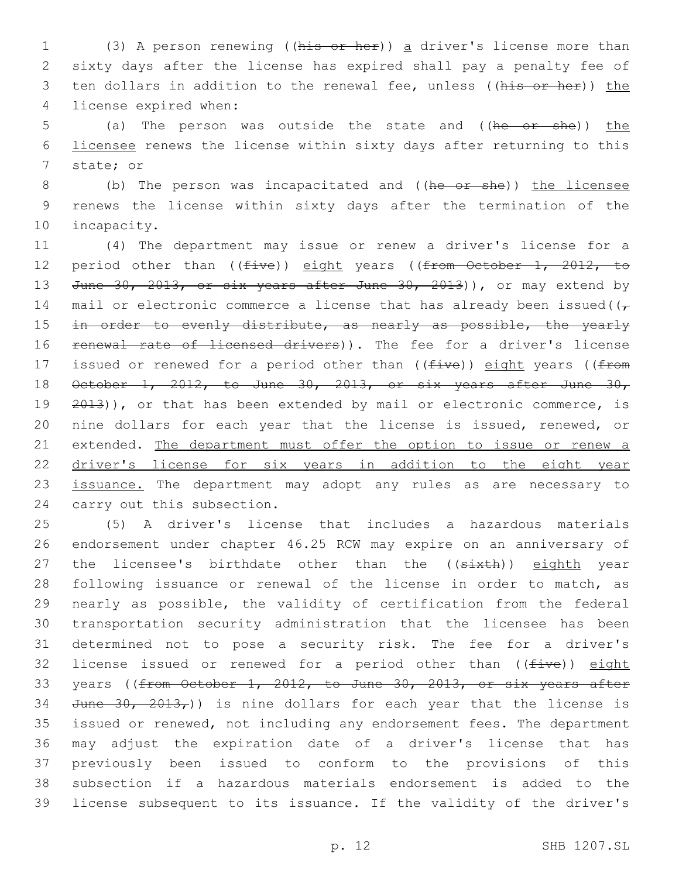1 (3) A person renewing ((his or her)) a driver's license more than 2 sixty days after the license has expired shall pay a penalty fee of 3 ten dollars in addition to the renewal fee, unless ((his or her)) the 4 license expired when:

5 (a) The person was outside the state and ((he or she)) the 6 licensee renews the license within sixty days after returning to this 7 state; or

8 (b) The person was incapacitated and ((he or she)) the licensee 9 renews the license within sixty days after the termination of the 10 incapacity.

11 (4) The department may issue or renew a driver's license for a 12 period other than ((five)) eight years ((from October 1, 2012, to 13 June 30, 2013, or six years after June 30, 2013)), or may extend by 14 mail or electronic commerce a license that has already been issued( $(\tau$ 15 in order to evenly distribute, as nearly as possible, the yearly 16 renewal rate of licensed drivers)). The fee for a driver's license 17 issued or renewed for a period other than ((five)) eight years ((from 18  $\theta$ etober 1, 2012, to June 30, 2013, or six years after June 30, 19 2013)), or that has been extended by mail or electronic commerce, is 20 nine dollars for each year that the license is issued, renewed, or 21 extended. The department must offer the option to issue or renew a 22 driver's license for six years in addition to the eight year 23 issuance. The department may adopt any rules as are necessary to 24 carry out this subsection.

 (5) A driver's license that includes a hazardous materials endorsement under chapter 46.25 RCW may expire on an anniversary of 27 the licensee's birthdate other than the ((sixth)) eighth year following issuance or renewal of the license in order to match, as nearly as possible, the validity of certification from the federal transportation security administration that the licensee has been determined not to pose a security risk. The fee for a driver's 32 license issued or renewed for a period other than  $((five))$  eight 33 years ((from October 1, 2012, to June 30, 2013, or six years after 34 June  $30, 2013,$ ) is nine dollars for each year that the license is issued or renewed, not including any endorsement fees. The department may adjust the expiration date of a driver's license that has previously been issued to conform to the provisions of this subsection if a hazardous materials endorsement is added to the license subsequent to its issuance. If the validity of the driver's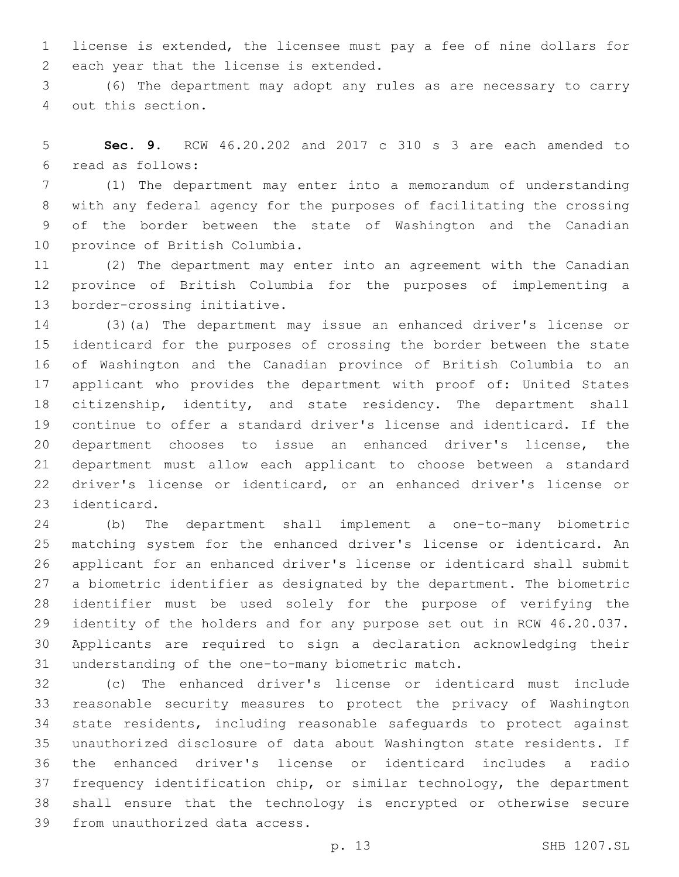license is extended, the licensee must pay a fee of nine dollars for 2 each year that the license is extended.

 (6) The department may adopt any rules as are necessary to carry 4 out this section.

 **Sec. 9.** RCW 46.20.202 and 2017 c 310 s 3 are each amended to read as follows:6

 (1) The department may enter into a memorandum of understanding with any federal agency for the purposes of facilitating the crossing of the border between the state of Washington and the Canadian 10 province of British Columbia.

 (2) The department may enter into an agreement with the Canadian province of British Columbia for the purposes of implementing a 13 border-crossing initiative.

 (3)(a) The department may issue an enhanced driver's license or identicard for the purposes of crossing the border between the state of Washington and the Canadian province of British Columbia to an applicant who provides the department with proof of: United States citizenship, identity, and state residency. The department shall continue to offer a standard driver's license and identicard. If the department chooses to issue an enhanced driver's license, the department must allow each applicant to choose between a standard driver's license or identicard, or an enhanced driver's license or 23 identicard.

 (b) The department shall implement a one-to-many biometric matching system for the enhanced driver's license or identicard. An applicant for an enhanced driver's license or identicard shall submit a biometric identifier as designated by the department. The biometric identifier must be used solely for the purpose of verifying the identity of the holders and for any purpose set out in RCW 46.20.037. Applicants are required to sign a declaration acknowledging their 31 understanding of the one-to-many biometric match.

 (c) The enhanced driver's license or identicard must include reasonable security measures to protect the privacy of Washington state residents, including reasonable safeguards to protect against unauthorized disclosure of data about Washington state residents. If the enhanced driver's license or identicard includes a radio frequency identification chip, or similar technology, the department shall ensure that the technology is encrypted or otherwise secure 39 from unauthorized data access.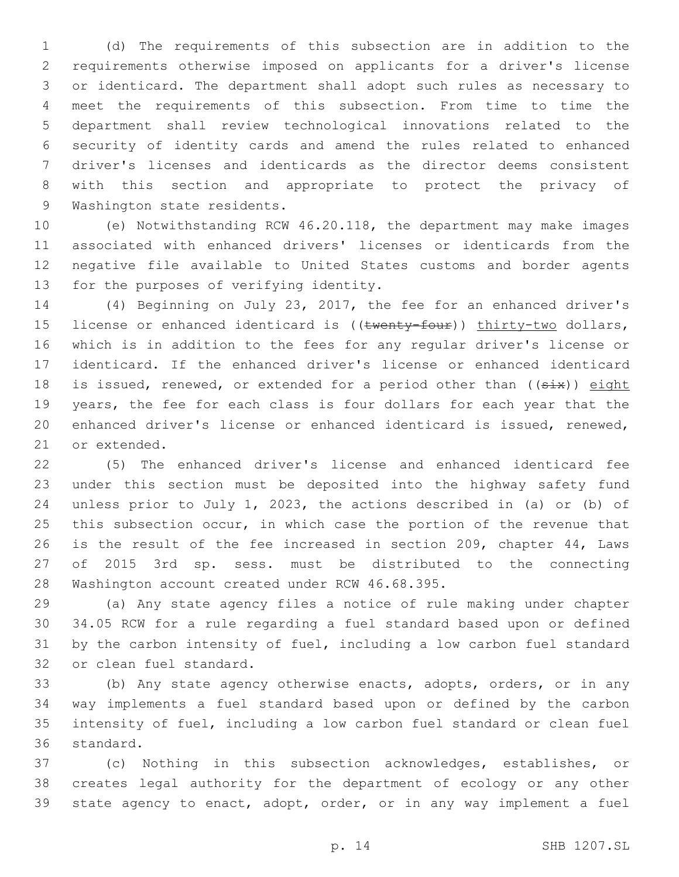(d) The requirements of this subsection are in addition to the requirements otherwise imposed on applicants for a driver's license or identicard. The department shall adopt such rules as necessary to meet the requirements of this subsection. From time to time the department shall review technological innovations related to the security of identity cards and amend the rules related to enhanced driver's licenses and identicards as the director deems consistent with this section and appropriate to protect the privacy of 9 Washington state residents.

 (e) Notwithstanding RCW 46.20.118, the department may make images associated with enhanced drivers' licenses or identicards from the negative file available to United States customs and border agents 13 for the purposes of verifying identity.

 (4) Beginning on July 23, 2017, the fee for an enhanced driver's 15 license or enhanced identicard is ((twenty-four)) thirty-two dollars, which is in addition to the fees for any regular driver's license or identicard. If the enhanced driver's license or enhanced identicard 18 is issued, renewed, or extended for a period other than  $(5+x)$  eight years, the fee for each class is four dollars for each year that the enhanced driver's license or enhanced identicard is issued, renewed, 21 or extended.

 (5) The enhanced driver's license and enhanced identicard fee under this section must be deposited into the highway safety fund unless prior to July 1, 2023, the actions described in (a) or (b) of 25 this subsection occur, in which case the portion of the revenue that is the result of the fee increased in section 209, chapter 44, Laws of 2015 3rd sp. sess. must be distributed to the connecting 28 Washington account created under RCW 46.68.395.

 (a) Any state agency files a notice of rule making under chapter 34.05 RCW for a rule regarding a fuel standard based upon or defined by the carbon intensity of fuel, including a low carbon fuel standard 32 or clean fuel standard.

33 (b) Any state agency otherwise enacts, adopts, orders, or in any way implements a fuel standard based upon or defined by the carbon intensity of fuel, including a low carbon fuel standard or clean fuel 36 standard.

 (c) Nothing in this subsection acknowledges, establishes, or creates legal authority for the department of ecology or any other state agency to enact, adopt, order, or in any way implement a fuel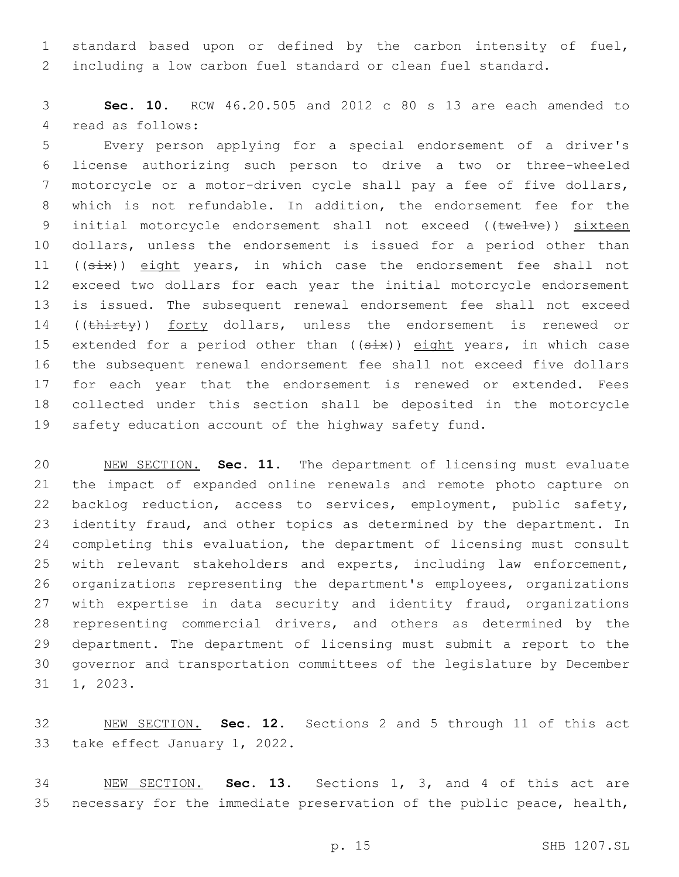standard based upon or defined by the carbon intensity of fuel, including a low carbon fuel standard or clean fuel standard.

 **Sec. 10.** RCW 46.20.505 and 2012 c 80 s 13 are each amended to 4 read as follows:

 Every person applying for a special endorsement of a driver's license authorizing such person to drive a two or three-wheeled motorcycle or a motor-driven cycle shall pay a fee of five dollars, which is not refundable. In addition, the endorsement fee for the 9 initial motorcycle endorsement shall not exceed ((twelve)) sixteen dollars, unless the endorsement is issued for a period other than 11 ((six)) eight years, in which case the endorsement fee shall not exceed two dollars for each year the initial motorcycle endorsement is issued. The subsequent renewal endorsement fee shall not exceed 14 ((thirty)) forty dollars, unless the endorsement is renewed or 15 extended for a period other than  $($   $(six)$  eight years, in which case the subsequent renewal endorsement fee shall not exceed five dollars for each year that the endorsement is renewed or extended. Fees collected under this section shall be deposited in the motorcycle safety education account of the highway safety fund.

 NEW SECTION. **Sec. 11.** The department of licensing must evaluate the impact of expanded online renewals and remote photo capture on backlog reduction, access to services, employment, public safety, 23 identity fraud, and other topics as determined by the department. In completing this evaluation, the department of licensing must consult with relevant stakeholders and experts, including law enforcement, organizations representing the department's employees, organizations with expertise in data security and identity fraud, organizations representing commercial drivers, and others as determined by the department. The department of licensing must submit a report to the governor and transportation committees of the legislature by December 1, 2023.

 NEW SECTION. **Sec. 12.** Sections 2 and 5 through 11 of this act take effect January 1, 2022.

 NEW SECTION. **Sec. 13.** Sections 1, 3, and 4 of this act are necessary for the immediate preservation of the public peace, health,